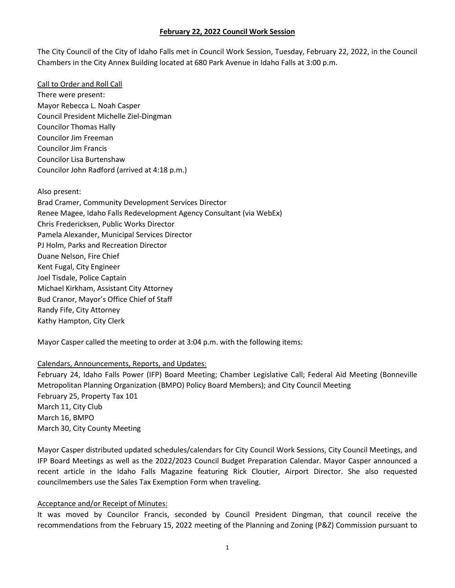The City Council of the City of Idaho Falls met in Council Work Session, Tuesday, February 22, 2022, in the Council Chambers in the City Annex Building located at 680 Park Avenue in Idaho Falls at 3:00 p.m.

Call to Order and Roll Call There were present: Mayor Rebecca L. Noah Casper Council President Michelle Ziel-Dingman Councilor Thomas Hally Councilor Jim Freeman Councilor Jim Francis Councilor Lisa Burtenshaw Councilor John Radford (arrived at 4:18 p.m.)

Also present: Brad Cramer, Community Development Services Director Renee Magee, Idaho Falls Redevelopment Agency Consultant (via WebEx) Chris Fredericksen, Public Works Director Pamela Alexander, Municipal Services Director PJ Holm, Parks and Recreation Director Duane Nelson, Fire Chief Kent Fugal, City Engineer Joel Tisdale, Police Captain Michael Kirkham, Assistant City Attorney Bud Cranor, Mayor's Office Chief of Staff Randy Fife, City Attorney Kathy Hampton, City Clerk

Mayor Casper called the meeting to order at 3:04 p.m. with the following items:

### Calendars, Announcements, Reports, and Updates:

February 24, Idaho Falls Power (IFP) Board Meeting; Chamber Legislative Call; Federal Aid Meeting (Bonneville Metropolitan Planning Organization (BMPO) Policy Board Members); and City Council Meeting February 25, Property Tax 101 March 11, City Club March 16, BMPO March 30, City County Meeting

Mayor Casper distributed updated schedules/calendars for City Council Work Sessions, City Council Meetings, and IFP Board Meetings as well as the 2022/2023 Council Budget Preparation Calendar. Mayor Casper announced a recent article in the Idaho Falls Magazine featuring Rick Cloutier, Airport Director. She also requested councilmembers use the Sales Tax Exemption Form when traveling.

### Acceptance and/or Receipt of Minutes:

It was moved by Councilor Francis, seconded by Council President Dingman, that council receive the recommendations from the February 15, 2022 meeting of the Planning and Zoning (P&Z) Commission pursuant to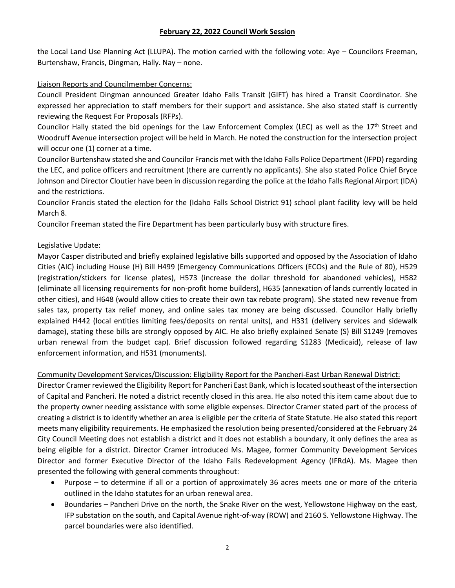the Local Land Use Planning Act (LLUPA). The motion carried with the following vote: Aye – Councilors Freeman, Burtenshaw, Francis, Dingman, Hally. Nay – none.

### Liaison Reports and Councilmember Concerns:

Council President Dingman announced Greater Idaho Falls Transit (GIFT) has hired a Transit Coordinator. She expressed her appreciation to staff members for their support and assistance. She also stated staff is currently reviewing the Request For Proposals (RFPs).

Councilor Hally stated the bid openings for the Law Enforcement Complex (LEC) as well as the 17<sup>th</sup> Street and Woodruff Avenue intersection project will be held in March. He noted the construction for the intersection project will occur one (1) corner at a time.

Councilor Burtenshaw stated she and Councilor Francis met with the Idaho Falls Police Department (IFPD) regarding the LEC, and police officers and recruitment (there are currently no applicants). She also stated Police Chief Bryce Johnson and Director Cloutier have been in discussion regarding the police at the Idaho Falls Regional Airport (IDA) and the restrictions.

Councilor Francis stated the election for the (Idaho Falls School District 91) school plant facility levy will be held March 8.

Councilor Freeman stated the Fire Department has been particularly busy with structure fires.

# Legislative Update:

Mayor Casper distributed and briefly explained legislative bills supported and opposed by the Association of Idaho Cities (AIC) including House (H) Bill H499 (Emergency Communications Officers (ECOs) and the Rule of 80), H529 (registration/stickers for license plates), H573 (increase the dollar threshold for abandoned vehicles), H582 (eliminate all licensing requirements for non-profit home builders), H635 (annexation of lands currently located in other cities), and H648 (would allow cities to create their own tax rebate program). She stated new revenue from sales tax, property tax relief money, and online sales tax money are being discussed. Councilor Hally briefly explained H442 (local entities limiting fees/deposits on rental units), and H331 (delivery services and sidewalk damage), stating these bills are strongly opposed by AIC. He also briefly explained Senate (S) Bill S1249 (removes urban renewal from the budget cap). Brief discussion followed regarding S1283 (Medicaid), release of law enforcement information, and H531 (monuments).

# Community Development Services/Discussion: Eligibility Report for the Pancheri-East Urban Renewal District:

Director Cramer reviewed the Eligibility Report for Pancheri East Bank, which is located southeast of the intersection of Capital and Pancheri. He noted a district recently closed in this area. He also noted this item came about due to the property owner needing assistance with some eligible expenses. Director Cramer stated part of the process of creating a district is to identify whether an area is eligible per the criteria of State Statute. He also stated this report meets many eligibility requirements. He emphasized the resolution being presented/considered at the February 24 City Council Meeting does not establish a district and it does not establish a boundary, it only defines the area as being eligible for a district. Director Cramer introduced Ms. Magee, former Community Development Services Director and former Executive Director of the Idaho Falls Redevelopment Agency (IFRdA). Ms. Magee then presented the following with general comments throughout:

- Purpose to determine if all or a portion of approximately 36 acres meets one or more of the criteria outlined in the Idaho statutes for an urban renewal area.
- Boundaries Pancheri Drive on the north, the Snake River on the west, Yellowstone Highway on the east, IFP substation on the south, and Capital Avenue right-of-way (ROW) and 2160 S. Yellowstone Highway. The parcel boundaries were also identified.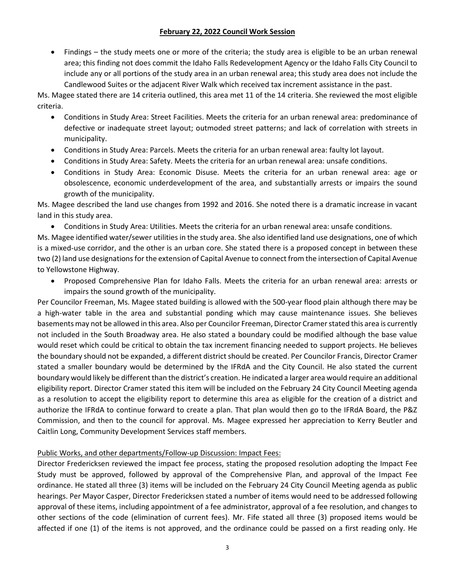• Findings – the study meets one or more of the criteria; the study area is eligible to be an urban renewal area; this finding not does commit the Idaho Falls Redevelopment Agency or the Idaho Falls City Council to include any or all portions of the study area in an urban renewal area; this study area does not include the Candlewood Suites or the adjacent River Walk which received tax increment assistance in the past.

Ms. Magee stated there are 14 criteria outlined, this area met 11 of the 14 criteria. She reviewed the most eligible criteria.

- Conditions in Study Area: Street Facilities. Meets the criteria for an urban renewal area: predominance of defective or inadequate street layout; outmoded street patterns; and lack of correlation with streets in municipality.
- Conditions in Study Area: Parcels. Meets the criteria for an urban renewal area: faulty lot layout.
- Conditions in Study Area: Safety. Meets the criteria for an urban renewal area: unsafe conditions.
- Conditions in Study Area: Economic Disuse. Meets the criteria for an urban renewal area: age or obsolescence, economic underdevelopment of the area, and substantially arrests or impairs the sound growth of the municipality.

Ms. Magee described the land use changes from 1992 and 2016. She noted there is a dramatic increase in vacant land in this study area.

• Conditions in Study Area: Utilities. Meets the criteria for an urban renewal area: unsafe conditions.

Ms. Magee identified water/sewer utilities in the study area. She also identified land use designations, one of which is a mixed-use corridor, and the other is an urban core. She stated there is a proposed concept in between these two (2) land use designations for the extension of Capital Avenue to connect from the intersection of Capital Avenue to Yellowstone Highway.

• Proposed Comprehensive Plan for Idaho Falls. Meets the criteria for an urban renewal area: arrests or impairs the sound growth of the municipality.

Per Councilor Freeman, Ms. Magee stated building is allowed with the 500-year flood plain although there may be a high-water table in the area and substantial ponding which may cause maintenance issues. She believes basements may not be allowed in this area. Also per Councilor Freeman, Director Cramer stated this area is currently not included in the South Broadway area. He also stated a boundary could be modified although the base value would reset which could be critical to obtain the tax increment financing needed to support projects. He believes the boundary should not be expanded, a different district should be created. Per Councilor Francis, Director Cramer stated a smaller boundary would be determined by the IFRdA and the City Council. He also stated the current boundary would likely be different than the district's creation. He indicated a larger area would require an additional eligibility report. Director Cramer stated this item will be included on the February 24 City Council Meeting agenda as a resolution to accept the eligibility report to determine this area as eligible for the creation of a district and authorize the IFRdA to continue forward to create a plan. That plan would then go to the IFRdA Board, the P&Z Commission, and then to the council for approval. Ms. Magee expressed her appreciation to Kerry Beutler and Caitlin Long, Community Development Services staff members.

# Public Works, and other departments/Follow-up Discussion: Impact Fees:

Director Fredericksen reviewed the impact fee process, stating the proposed resolution adopting the Impact Fee Study must be approved, followed by approval of the Comprehensive Plan, and approval of the Impact Fee ordinance. He stated all three (3) items will be included on the February 24 City Council Meeting agenda as public hearings. Per Mayor Casper, Director Fredericksen stated a number of items would need to be addressed following approval of these items, including appointment of a fee administrator, approval of a fee resolution, and changes to other sections of the code (elimination of current fees). Mr. Fife stated all three (3) proposed items would be affected if one (1) of the items is not approved, and the ordinance could be passed on a first reading only. He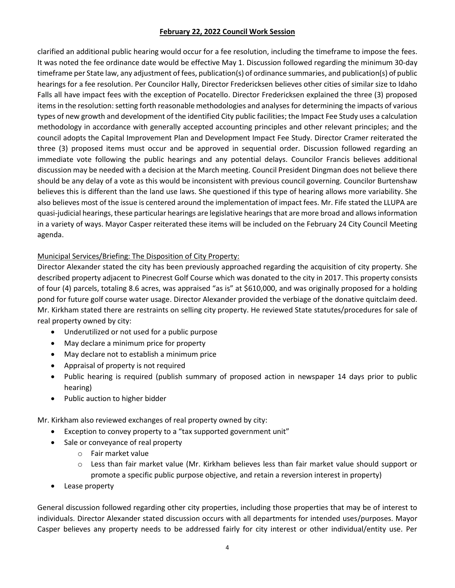clarified an additional public hearing would occur for a fee resolution, including the timeframe to impose the fees. It was noted the fee ordinance date would be effective May 1. Discussion followed regarding the minimum 30-day timeframe per State law, any adjustment of fees, publication(s) of ordinance summaries, and publication(s) of public hearings for a fee resolution. Per Councilor Hally, Director Fredericksen believes other cities of similar size to Idaho Falls all have impact fees with the exception of Pocatello. Director Fredericksen explained the three (3) proposed items in the resolution: setting forth reasonable methodologies and analyses for determining the impacts of various types of new growth and development of the identified City public facilities; the Impact Fee Study uses a calculation methodology in accordance with generally accepted accounting principles and other relevant principles; and the council adopts the Capital Improvement Plan and Development Impact Fee Study. Director Cramer reiterated the three (3) proposed items must occur and be approved in sequential order. Discussion followed regarding an immediate vote following the public hearings and any potential delays. Councilor Francis believes additional discussion may be needed with a decision at the March meeting. Council President Dingman does not believe there should be any delay of a vote as this would be inconsistent with previous council governing. Councilor Burtenshaw believes this is different than the land use laws. She questioned if this type of hearing allows more variability. She also believes most of the issue is centered around the implementation of impact fees. Mr. Fife stated the LLUPA are quasi-judicial hearings, these particular hearings are legislative hearings that are more broad and allows information in a variety of ways. Mayor Casper reiterated these items will be included on the February 24 City Council Meeting agenda.

# Municipal Services/Briefing: The Disposition of City Property:

Director Alexander stated the city has been previously approached regarding the acquisition of city property. She described property adjacent to Pinecrest Golf Course which was donated to the city in 2017. This property consists of four (4) parcels, totaling 8.6 acres, was appraised "as is" at \$610,000, and was originally proposed for a holding pond for future golf course water usage. Director Alexander provided the verbiage of the donative quitclaim deed. Mr. Kirkham stated there are restraints on selling city property. He reviewed State statutes/procedures for sale of real property owned by city:

- Underutilized or not used for a public purpose
- May declare a minimum price for property
- May declare not to establish a minimum price
- Appraisal of property is not required
- Public hearing is required (publish summary of proposed action in newspaper 14 days prior to public hearing)
- Public auction to higher bidder

Mr. Kirkham also reviewed exchanges of real property owned by city:

- Exception to convey property to a "tax supported government unit"
- Sale or conveyance of real property
	- o Fair market value
	- $\circ$  Less than fair market value (Mr. Kirkham believes less than fair market value should support or promote a specific public purpose objective, and retain a reversion interest in property)
- Lease property

General discussion followed regarding other city properties, including those properties that may be of interest to individuals. Director Alexander stated discussion occurs with all departments for intended uses/purposes. Mayor Casper believes any property needs to be addressed fairly for city interest or other individual/entity use. Per